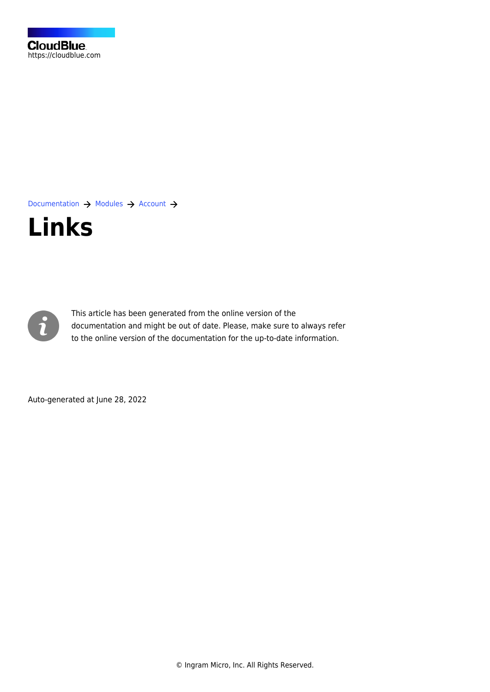[Documentation](https://connect.cloudblue.com/documentation)  $\rightarrow$  [Modules](https://connect.cloudblue.com/community/modules/)  $\rightarrow$  [Account](https://connect.cloudblue.com/community/modules/account/)  $\rightarrow$ 





This article has been generated from the online version of the documentation and might be out of date. Please, make sure to always refer to the online version of the documentation for the up-to-date information.

Auto-generated at June 28, 2022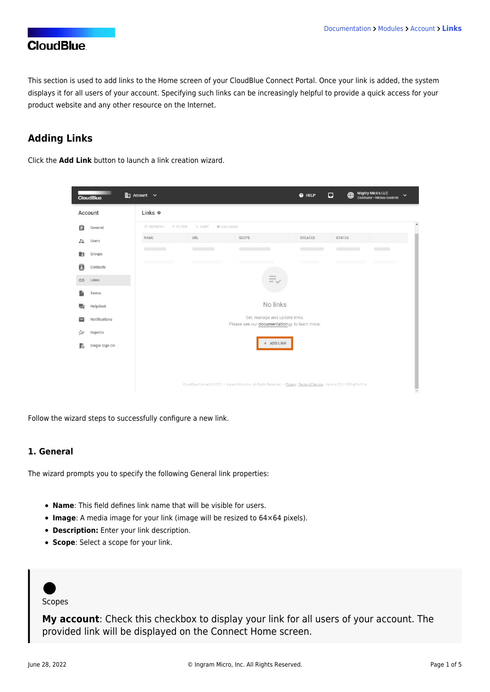This section is used to add links to the Home screen of your CloudBlue Connect Portal. Once your link is added, the system displays it for all users of your account. Specifying such links can be increasingly helpful to provide a quick access for your product website and any other resource on the Internet.

### **Adding Links**

Click the **Add Link** button to launch a link creation wizard.

|                    | <b>CloudBlue</b> | $\mathop{\mathrm{Im}}$ Account $\mathop{\checkmark}$ |                                                                                                                                                                                                                                      |                                                                                                                             | $\bullet$ HELP | $\Box$        | Mighty Mick's LLC<br>Distributor · Mickey Goldmill<br>$\bigoplus$ | $\checkmark$        |  |  |
|--------------------|------------------|------------------------------------------------------|--------------------------------------------------------------------------------------------------------------------------------------------------------------------------------------------------------------------------------------|-----------------------------------------------------------------------------------------------------------------------------|----------------|---------------|-------------------------------------------------------------------|---------------------|--|--|
| Links @<br>Account |                  |                                                      |                                                                                                                                                                                                                                      |                                                                                                                             |                |               |                                                                   |                     |  |  |
| 自                  | General          | <b>C REFRESH</b><br>$F$ FILTER                       | <b>III</b> COLUMNS<br><sup>1</sup> SORT                                                                                                                                                                                              |                                                                                                                             |                |               |                                                                   | $\hat{\phantom{a}}$ |  |  |
| $\frac{2+}{2}$     | Users            | NAME                                                 | <b>URL</b>                                                                                                                                                                                                                           | SCOPE                                                                                                                       | CREATED        | <b>STATUS</b> |                                                                   |                     |  |  |
| la.                | Groups           |                                                      | $\sim$ $\sim$                                                                                                                                                                                                                        | $\overline{\phantom{a}}$<br>$\overline{\phantom{a}}$                                                                        |                | $\sim$        | $\overline{\phantom{a}}$<br>m                                     |                     |  |  |
| ē                  | Contacts         | <u> Alban a component d</u>                          | <u> Alban a shekara ta 1999 a shekara ta 1999 a shekara ta 1999 a shekara ta 1999 a shekara ta 1999 a 1999 a 1999 a 1999 a 1999 a 1999 a 1999 a 1999 a 1999 a 1999 a 1999 a 1999 a 1999 a 1999 a 1999 a 1999 a 1999 a 1999 a 199</u> |                                                                                                                             |                |               | <b>COMMUNICATION</b><br><b>AND CONTRACTOR</b>                     |                     |  |  |
| GD                 | Links            |                                                      |                                                                                                                                                                                                                                      | 三、                                                                                                                          |                |               |                                                                   |                     |  |  |
|                    | Terms            |                                                      |                                                                                                                                                                                                                                      |                                                                                                                             |                |               |                                                                   |                     |  |  |
| ■                  | Helpdesk         |                                                      |                                                                                                                                                                                                                                      | No links                                                                                                                    |                |               |                                                                   |                     |  |  |
| $\breve{ }$        | Notifications    |                                                      |                                                                                                                                                                                                                                      | Set, manage and update links.<br>Please see our documentation a to learn more.                                              |                |               |                                                                   |                     |  |  |
| ₩                  | Reports          |                                                      |                                                                                                                                                                                                                                      |                                                                                                                             |                |               |                                                                   |                     |  |  |
| F.                 | Single Sign On   |                                                      |                                                                                                                                                                                                                                      | + ADD LINK                                                                                                                  |                |               |                                                                   |                     |  |  |
|                    |                  |                                                      |                                                                                                                                                                                                                                      |                                                                                                                             |                |               |                                                                   |                     |  |  |
|                    |                  |                                                      |                                                                                                                                                                                                                                      |                                                                                                                             |                |               |                                                                   |                     |  |  |
|                    |                  |                                                      |                                                                                                                                                                                                                                      | CloudBlue Connect © 2021 - Ingram Micro Inc. All Rights Reserved. - Privacy   Terms of Service - Version 23.0.1593-gf1a111e |                |               |                                                                   |                     |  |  |

Follow the wizard steps to successfully configure a new link.

#### **1. General**

The wizard prompts you to specify the following General link properties:

- **Name**: This field defines link name that will be visible for users.
- **Image**: A media image for your link (image will be resized to 64×64 pixels).
- **Description:** Enter your link description.
- **Scope**: Select a scope for your link.



#### Scopes

**My account**: Check this checkbox to display your link for all users of your account. The provided link will be displayed on the Connect Home screen.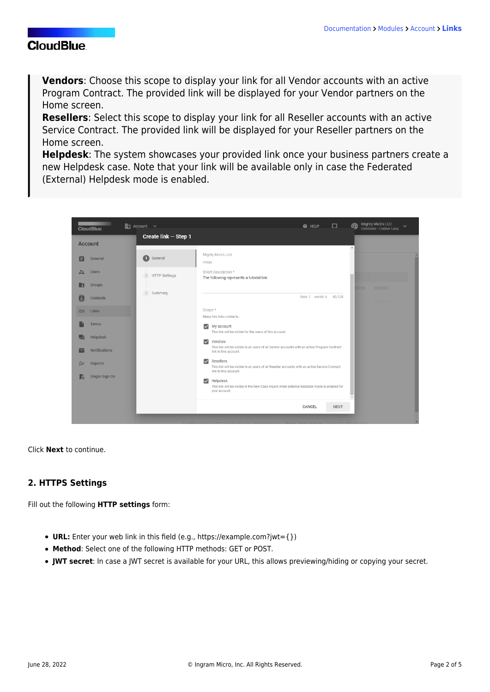**Vendors**: Choose this scope to display your link for all Vendor accounts with an active [Program Contract](https://connect.cloudblue.com/community/modules/contracts/program-contracts/). The provided link will be displayed for your Vendor partners on the Home screen.

**Resellers**: Select this scope to display your link for all Reseller accounts with an active [Service Contract](https://connect.cloudblue.com/community/modules/contracts/service-contracts/). The provided link will be displayed for your Reseller partners on the Home screen.

**Helpdesk**: The system showcases your provided link once your business partners create a new [Helpdesk](https://connect.cloudblue.com/community/modules/helpdesk/) case. Note that your link will be available only in case the [Federated](https://connect.cloudblue.com/community/modules/account/helpdesk/#Federated_(External)) [\(External\)](https://connect.cloudblue.com/community/modules/account/helpdesk/#Federated_(External)) Helpdesk mode is enabled.

| $\mathbb{H}$ Account $\vee$<br><b>Service Service</b><br><b>CloudBlue</b> | - 0<br>@ HELP                                                                                                                                             | <b>Mighty Mick's LLC</b><br>$\bigoplus$<br>$\checkmark$<br>Distributor . Clubber Lang |
|---------------------------------------------------------------------------|-----------------------------------------------------------------------------------------------------------------------------------------------------------|---------------------------------------------------------------------------------------|
| Create link - Step 1<br><b>Account</b>                                    |                                                                                                                                                           |                                                                                       |
| O<br>General<br>General<br>⊫                                              | Mighty Mick's Link<br>Image                                                                                                                               |                                                                                       |
| 22<br><b>Users</b><br>2 HTTP Settings                                     | Short description *<br>The following represents a tutorial link                                                                                           |                                                                                       |
| Groups<br>$\overline{z}$<br>3 Summary                                     |                                                                                                                                                           | a a shekara                                                                           |
| Contacts<br>E                                                             | lines: 1 words: 6<br>40/128                                                                                                                               |                                                                                       |
| Links<br>$\bigoplus$                                                      | Scope*<br>Make this links visible to                                                                                                                      |                                                                                       |
| Terms                                                                     | $\vee$ My account<br>This link will be visible for the users of this account.                                                                             |                                                                                       |
| Helpdesk                                                                  | Vendors<br>$\overline{\smile}$                                                                                                                            |                                                                                       |
| <b>Notifications</b>                                                      | This link will be visible to all users of all Vendor accounts with an active Program Contract<br>link to this account.                                    |                                                                                       |
| Reports<br>ジン                                                             | Resellers<br>$\triangleright$<br>This link will be visible to all users of all Reseller accounts with an active Service Contract<br>link to this account. |                                                                                       |
| Single Sign On<br>Fà                                                      | $\triangleright$ Helpdesk<br>This link will be visible in the New Case wizard when External helpdesk mode is enabled for<br>your account.                 |                                                                                       |
|                                                                           | CANCEL<br><b>NEXT</b>                                                                                                                                     |                                                                                       |
|                                                                           |                                                                                                                                                           |                                                                                       |

Click **Next** to continue.

### **2. HTTPS Settings**

Fill out the following **HTTP settings** form:

- **URL:** Enter your web link in this field (e.g., https://example.com?jwt={})
- **Method**: Select one of the following HTTP methods: GET or POST.
- **JWT secret**: In case a JWT secret is available for your URL, this allows previewing/hiding or copying your secret.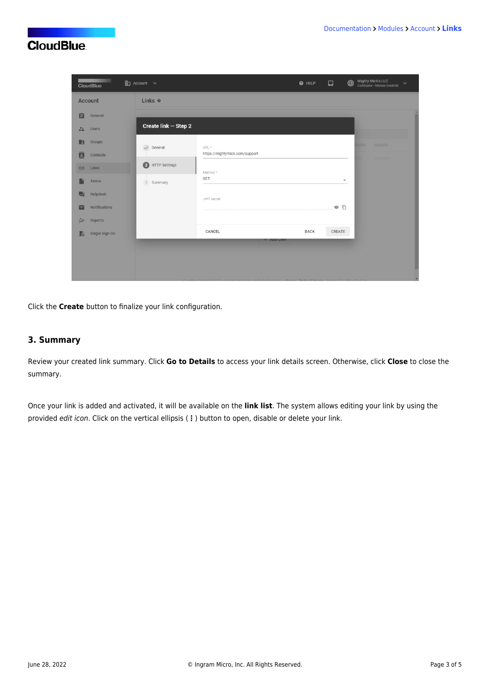| <b>CloudBlue</b>             | $\mathop{\mathrm{Im}}$ Account $\sim$ |                                | $\bullet$ HELP                                        | $\Box$                   | Mighty Mick's LLC<br>Distributor · Mickey Goldmill | $\checkmark$ |
|------------------------------|---------------------------------------|--------------------------------|-------------------------------------------------------|--------------------------|----------------------------------------------------|--------------|
| Account                      | Links @                               |                                |                                                       |                          |                                                    |              |
| 自<br>General                 |                                       |                                |                                                       |                          |                                                    |              |
| 22<br><b>Users</b>           | Create link - Step 2                  |                                |                                                       |                          |                                                    |              |
| Groups<br>E                  | $\checkmark$ General                  | URL*                           |                                                       |                          | $\overline{\phantom{a}}$<br>m                      |              |
| ē<br>Contacts                |                                       | https://mightymick.com/support |                                                       |                          |                                                    |              |
| Links<br>G                   | $\bullet$<br>HTTP Settings            | Method <sup>*</sup>            |                                                       |                          |                                                    |              |
| Terms                        | 3 Summary                             | GET                            |                                                       | $\overline{\phantom{a}}$ |                                                    |              |
| Helpdesk<br>Е                |                                       | JWT secret                     |                                                       |                          |                                                    |              |
| Notifications<br>$\check{ }$ |                                       |                                |                                                       | $\circ$ $\Box$           |                                                    |              |
| ジン<br>Reports                |                                       |                                |                                                       |                          |                                                    |              |
| Single Sign On<br>Ŀ          |                                       | CANCEL                         | <b>BACK</b>                                           | CREATE                   |                                                    |              |
|                              |                                       | <b>+ AUU LINK</b>              |                                                       |                          |                                                    |              |
|                              |                                       |                                |                                                       |                          |                                                    |              |
|                              |                                       |                                | earl - Privary   Terms of Service - Version 23.0.1591 |                          |                                                    |              |

Click the **Create** button to finalize your link configuration.

### **3. Summary**

Review your created link summary. Click **Go to Details** to access your link details screen. Otherwise, click **Close** to close the summary.

Once your link is added and activated, it will be available on the **link list**. The system allows editing your link by using the provided edit icon. Click on the vertical ellipsis (**⋮**) button to open, disable or delete your link.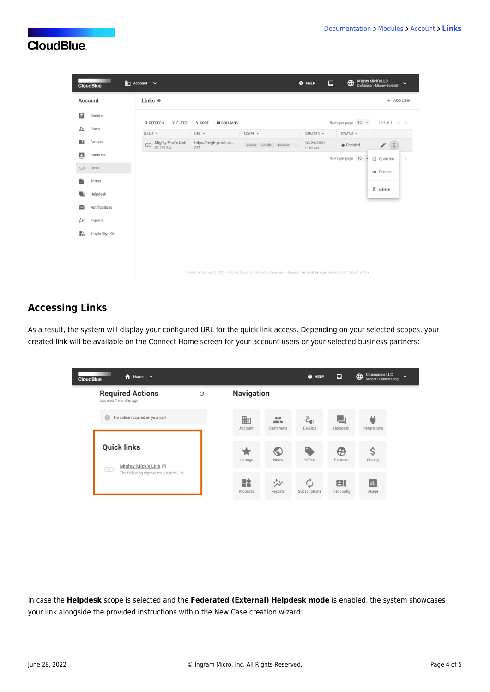|               | <b>CloudBlue</b> | <b>Em</b> Account ∨                           |                                         |                                                                                                                             | @ HELP                 | $\bigoplus$<br>$\Box$ | Mighty Mick's LLC<br>Distributor · Mickey Goldmill<br>$\check{~}$ |
|---------------|------------------|-----------------------------------------------|-----------------------------------------|-----------------------------------------------------------------------------------------------------------------------------|------------------------|-----------------------|-------------------------------------------------------------------|
|               | Account          | Links <sup>®</sup>                            |                                         |                                                                                                                             |                        |                       | + ADD LINK                                                        |
| 自             | General          | <b>C REFRESH</b><br>$F$ FILTER                | <sup>1</sup> SORT<br><b>III</b> COLUMNS |                                                                                                                             |                        | Rows per page 10 -    | $1-1$ of $1 \leq$                                                 |
| $\frac{1}{2}$ | Users            | NAME -                                        | URL $-$                                 | SCOPE -                                                                                                                     | CREATED -              | STATUS -              |                                                                   |
| E             | Groups           | Mighty Mick's Link<br>$\ominus$<br>SS-719-934 | https://mightymick.co<br>GET            | Vendor Reseller Account He                                                                                                  | 10/29/2021<br>11:02 AM | $\bullet$ Enabled     | $\mathcal{S}$ .                                                   |
| ē             | Contacts         |                                               |                                         |                                                                                                                             |                        | Rows per page 10      | ■ Open link<br>$\,>$                                              |
| GD            | Links            |                                               |                                         |                                                                                                                             |                        |                       | <b>Disable</b>                                                    |
|               | Terms            |                                               |                                         |                                                                                                                             |                        |                       |                                                                   |
| ■             | Helpdesk         |                                               |                                         |                                                                                                                             |                        |                       | <b>面</b> Delete                                                   |
| $\checkmark$  | Notifications    |                                               |                                         |                                                                                                                             |                        |                       |                                                                   |
| ₩             | Reports          |                                               |                                         |                                                                                                                             |                        |                       |                                                                   |
| Ŀ             | Single Sign On   |                                               |                                         |                                                                                                                             |                        |                       |                                                                   |
|               |                  |                                               |                                         |                                                                                                                             |                        |                       |                                                                   |
|               |                  |                                               |                                         |                                                                                                                             |                        |                       |                                                                   |
|               |                  |                                               |                                         | CloudBlue Connect @ 2021 - Ingram Micro Inc. All Rights Reserved. - Privacy   Terms of Service - Version 23.0.1593-gf1a111e |                        |                       |                                                                   |
|               |                  |                                               |                                         |                                                                                                                             |                        |                       |                                                                   |

### **Accessing Links**

As a result, the system will display your configured URL for the quick link access. Depending on your selected scopes, your created link will be available on the Connect Home screen for your account users or your selected business partners:

| $\bigwedge$ Home $\vee$<br><b>CloudBlue</b>             |                 |               |                           | @ HELP        | ⊡                | <b>Champions LLC</b><br>⊕<br>$\checkmark$<br>Vendor · Clubber Lang |
|---------------------------------------------------------|-----------------|---------------|---------------------------|---------------|------------------|--------------------------------------------------------------------|
| <b>Required Actions</b><br>Updated 7 months ago         | Navigation<br>C |               |                           |               |                  |                                                                    |
| No action required on your part                         |                 | 齨<br>Account  | $\mathbf{L}$<br>Customers | ટ…<br>DevOps  | Helpdesk         | Integrations                                                       |
| <b>Quick links</b><br>Mighty Mick's Link Z<br>$\subset$ |                 | Listings      | w<br>News                 | Offers        | æ<br>Partners    | \$<br>Pricing                                                      |
| --<br>The following represents a tutorial link          |                 | 詮<br>Products | ヴン<br>Reports             | Subscriptions | B<br>Tier config | d.<br>Usage                                                        |

In case the **Helpdesk** scope is selected and the **Federated (External) Helpdesk mode** is enabled, the system showcases your link alongside the provided [instructions](https://connect.cloudblue.com/community/modules/account/helpdesk/#Instructions) within the New Case creation wizard: